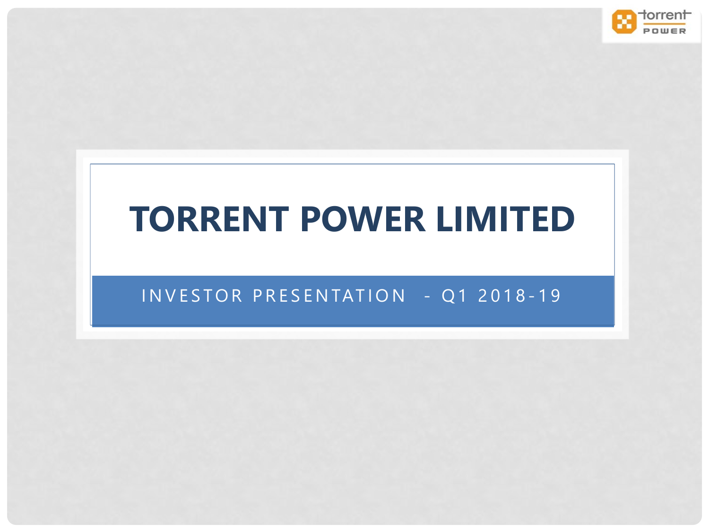

## **TORRENT POWER LIMITED**

### INVESTOR PRESENTATION - Q1 2018-19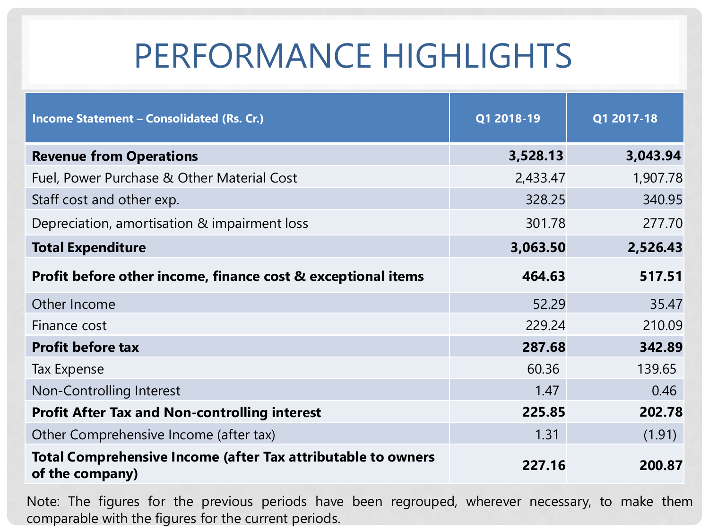| Income Statement - Consolidated (Rs. Cr.)                                              | Q1 2018-19 | Q1 2017-18 |
|----------------------------------------------------------------------------------------|------------|------------|
| <b>Revenue from Operations</b>                                                         | 3,528.13   | 3,043.94   |
| Fuel, Power Purchase & Other Material Cost                                             | 2,433.47   | 1,907.78   |
| Staff cost and other exp.                                                              | 328.25     | 340.95     |
| Depreciation, amortisation & impairment loss                                           | 301.78     | 277.70     |
| <b>Total Expenditure</b>                                                               | 3,063.50   | 2,526.43   |
| Profit before other income, finance cost & exceptional items                           | 464.63     | 517.51     |
| Other Income                                                                           | 52.29      | 35.47      |
| Finance cost                                                                           | 229.24     | 210.09     |
| <b>Profit before tax</b>                                                               | 287.68     | 342.89     |
| <b>Tax Expense</b>                                                                     | 60.36      | 139.65     |
| Non-Controlling Interest                                                               | 1.47       | 0.46       |
| <b>Profit After Tax and Non-controlling interest</b>                                   | 225.85     | 202.78     |
| Other Comprehensive Income (after tax)                                                 | 1.31       | (1.91)     |
| <b>Total Comprehensive Income (after Tax attributable to owners</b><br>of the company) | 227.16     | 200.87     |

Note: The figures for the previous periods have been regrouped, wherever necessary, to make them comparable with the figures for the current periods.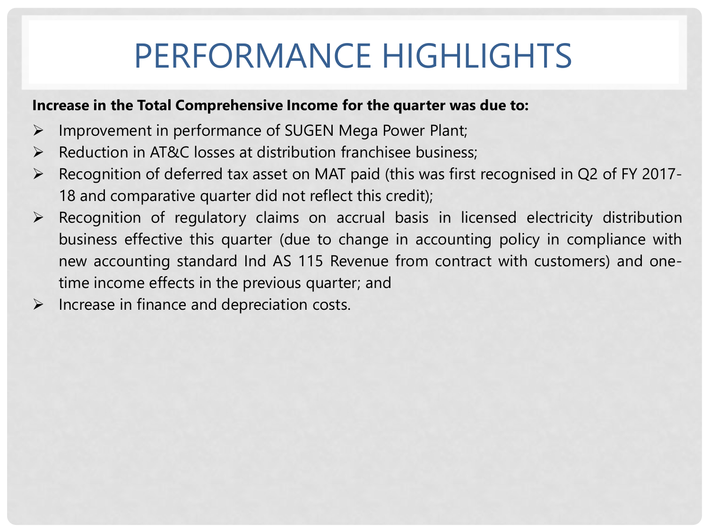#### **Increase in the Total Comprehensive Income for the quarter was due to:**

- $\triangleright$  Improvement in performance of SUGEN Mega Power Plant;
- $\triangleright$  Reduction in AT&C losses at distribution franchisee business;
- Recognition of deferred tax asset on MAT paid (this was first recognised in Q2 of FY 2017- 18 and comparative quarter did not reflect this credit);
- $\triangleright$  Recognition of regulatory claims on accrual basis in licensed electricity distribution business effective this quarter (due to change in accounting policy in compliance with new accounting standard Ind AS 115 Revenue from contract with customers) and onetime income effects in the previous quarter; and
- $\triangleright$  Increase in finance and depreciation costs.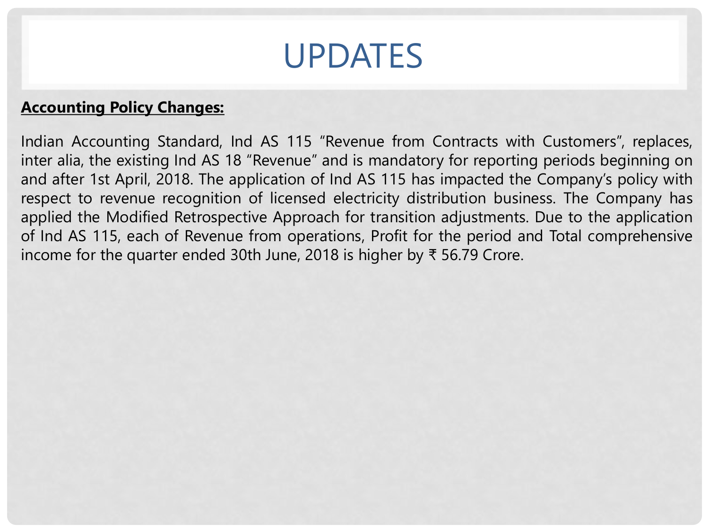

#### **Accounting Policy Changes:**

Indian Accounting Standard, Ind AS 115 "Revenue from Contracts with Customers", replaces, inter alia, the existing Ind AS 18 "Revenue" and is mandatory for reporting periods beginning on and after 1st April, 2018. The application of Ind AS 115 has impacted the Company's policy with respect to revenue recognition of licensed electricity distribution business. The Company has applied the Modified Retrospective Approach for transition adjustments. Due to the application of Ind AS 115, each of Revenue from operations, Profit for the period and Total comprehensive income for the quarter ended 30th June, 2018 is higher by ₹ 56.79 Crore.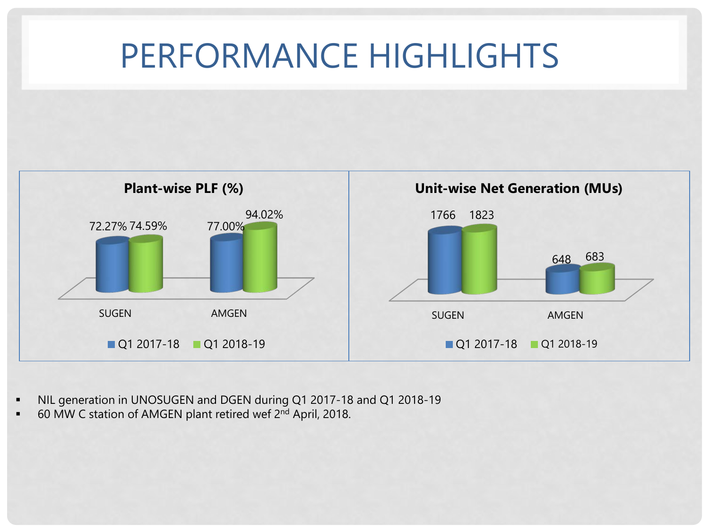

- NIL generation in UNOSUGEN and DGEN during Q1 2017-18 and Q1 2018-19
- 60 MW C station of AMGEN plant retired wef 2<sup>nd</sup> April, 2018.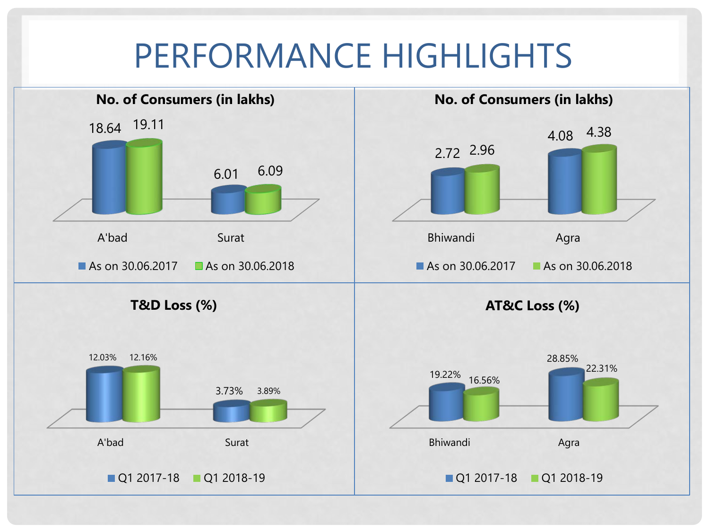